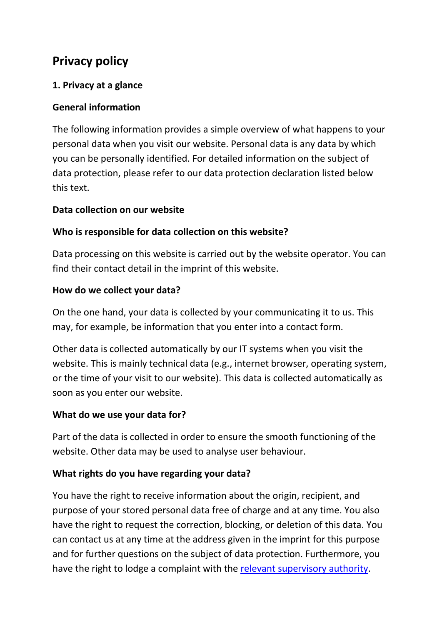# **Privacy policy**

## **1. Privacy at a glance**

## **General information**

The following information provides a simple overview of what happens to your personal data when you visit our website. Personal data is any data by which you can be personally identified. For detailed information on the subject of data protection, please refer to our data protection declaration listed below this text.

#### **Data collection on our website**

## **Who is responsible for data collection on this website?**

Data processing on this website is carried out by the website operator. You can find their contact detail in the imprint of this website.

## **How do we collect your data?**

On the one hand, your data is collected by your communicating it to us. This may, for example, be information that you enter into a contact form.

Other data is collected automatically by our IT systems when you visit the website. This is mainly technical data (e.g., internet browser, operating system, or the time of your visit to our website). This data is collected automatically as soon as you enter our website.

## **What do we use your data for?**

Part of the data is collected in order to ensure the smooth functioning of the website. Other data may be used to analyse user behaviour.

# **What rights do you have regarding your data?**

You have the right to receive information about the origin, recipient, and purpose of your stored personal data free of charge and at any time. You also have the right to request the correction, blocking, or deletion of this data. You can contact us at any time at the address given in the imprint for this purpose and for further questions on the subject of data protection. Furthermore, you have the right to lodge a complaint with the relevant [supervisory authority.](https://www.bfdi.bund.de/DE/Service/Anschriften/Laender/Laender-node.html)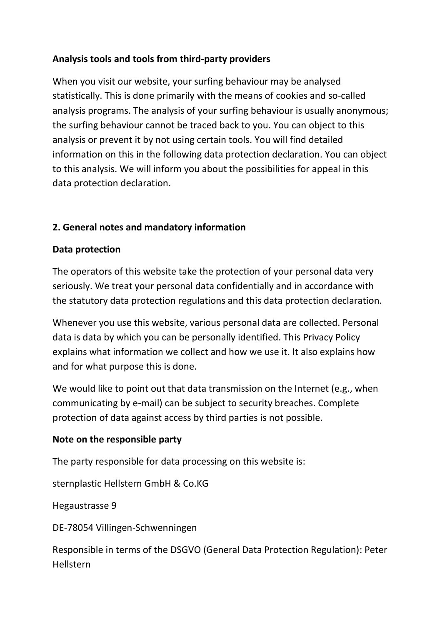## **Analysis tools and tools from third-party providers**

When you visit our website, your surfing behaviour may be analysed statistically. This is done primarily with the means of cookies and so-called analysis programs. The analysis of your surfing behaviour is usually anonymous; the surfing behaviour cannot be traced back to you. You can object to this analysis or prevent it by not using certain tools. You will find detailed information on this in the following data protection declaration. You can object to this analysis. We will inform you about the possibilities for appeal in this data protection declaration.

## **2. General notes and mandatory information**

## **Data protection**

The operators of this website take the protection of your personal data very seriously. We treat your personal data confidentially and in accordance with the statutory data protection regulations and this data protection declaration.

Whenever you use this website, various personal data are collected. Personal data is data by which you can be personally identified. This Privacy Policy explains what information we collect and how we use it. It also explains how and for what purpose this is done.

We would like to point out that data transmission on the Internet (e.g., when communicating by e-mail) can be subject to security breaches. Complete protection of data against access by third parties is not possible.

## **Note on the responsible party**

The party responsible for data processing on this website is:

sternplastic Hellstern GmbH & Co.KG

Hegaustrasse 9

DE-78054 Villingen-Schwenningen

Responsible in terms of the DSGVO (General Data Protection Regulation): Peter Hellstern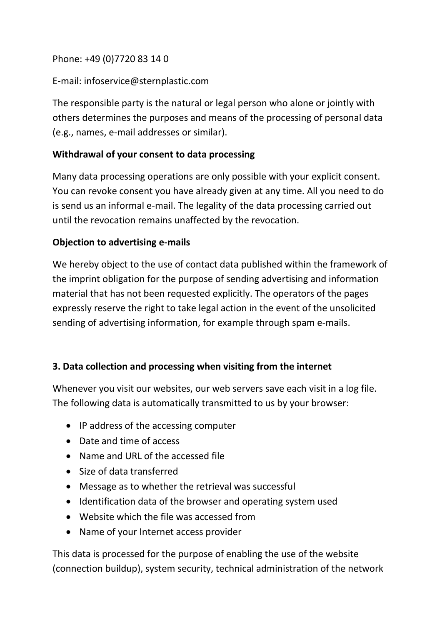## Phone: +49 (0)7720 83 14 0

## E-mail: infoservice@sternplastic.com

The responsible party is the natural or legal person who alone or jointly with others determines the purposes and means of the processing of personal data (e.g., names, e-mail addresses or similar).

## **Withdrawal of your consent to data processing**

Many data processing operations are only possible with your explicit consent. You can revoke consent you have already given at any time. All you need to do is send us an informal e-mail. The legality of the data processing carried out until the revocation remains unaffected by the revocation.

## **Objection to advertising e-mails**

We hereby object to the use of contact data published within the framework of the imprint obligation for the purpose of sending advertising and information material that has not been requested explicitly. The operators of the pages expressly reserve the right to take legal action in the event of the unsolicited sending of advertising information, for example through spam e-mails.

## **3. Data collection and processing when visiting from the internet**

Whenever you visit our websites, our web servers save each visit in a log file. The following data is automatically transmitted to us by your browser:

- IP address of the accessing computer
- Date and time of access
- Name and URL of the accessed file
- Size of data transferred
- Message as to whether the retrieval was successful
- Identification data of the browser and operating system used
- Website which the file was accessed from
- Name of your Internet access provider

This data is processed for the purpose of enabling the use of the website (connection buildup), system security, technical administration of the network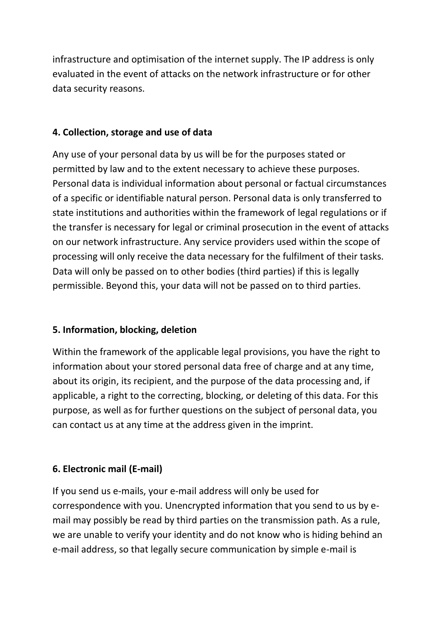infrastructure and optimisation of the internet supply. The IP address is only evaluated in the event of attacks on the network infrastructure or for other data security reasons.

## **4. Collection, storage and use of data**

Any use of your personal data by us will be for the purposes stated or permitted by law and to the extent necessary to achieve these purposes. Personal data is individual information about personal or factual circumstances of a specific or identifiable natural person. Personal data is only transferred to state institutions and authorities within the framework of legal regulations or if the transfer is necessary for legal or criminal prosecution in the event of attacks on our network infrastructure. Any service providers used within the scope of processing will only receive the data necessary for the fulfilment of their tasks. Data will only be passed on to other bodies (third parties) if this is legally permissible. Beyond this, your data will not be passed on to third parties.

## **5. Information, blocking, deletion**

Within the framework of the applicable legal provisions, you have the right to information about your stored personal data free of charge and at any time, about its origin, its recipient, and the purpose of the data processing and, if applicable, a right to the correcting, blocking, or deleting of this data. For this purpose, as well as for further questions on the subject of personal data, you can contact us at any time at the address given in the imprint.

# **6. Electronic mail (E-mail)**

If you send us e-mails, your e-mail address will only be used for correspondence with you. Unencrypted information that you send to us by email may possibly be read by third parties on the transmission path. As a rule, we are unable to verify your identity and do not know who is hiding behind an e-mail address, so that legally secure communication by simple e-mail is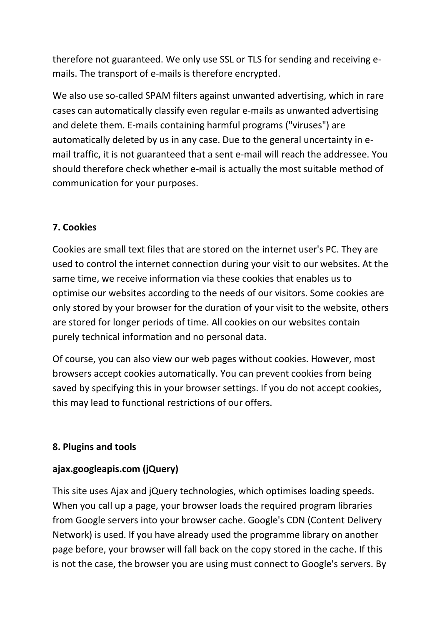therefore not guaranteed. We only use SSL or TLS for sending and receiving emails. The transport of e-mails is therefore encrypted.

We also use so-called SPAM filters against unwanted advertising, which in rare cases can automatically classify even regular e-mails as unwanted advertising and delete them. E-mails containing harmful programs ("viruses") are automatically deleted by us in any case. Due to the general uncertainty in email traffic, it is not guaranteed that a sent e-mail will reach the addressee. You should therefore check whether e-mail is actually the most suitable method of communication for your purposes.

## **7. Cookies**

Cookies are small text files that are stored on the internet user's PC. They are used to control the internet connection during your visit to our websites. At the same time, we receive information via these cookies that enables us to optimise our websites according to the needs of our visitors. Some cookies are only stored by your browser for the duration of your visit to the website, others are stored for longer periods of time. All cookies on our websites contain purely technical information and no personal data.

Of course, you can also view our web pages without cookies. However, most browsers accept cookies automatically. You can prevent cookies from being saved by specifying this in your browser settings. If you do not accept cookies, this may lead to functional restrictions of our offers.

# **8. Plugins and tools**

## **ajax.googleapis.com (jQuery)**

This site uses Ajax and jQuery technologies, which optimises loading speeds. When you call up a page, your browser loads the required program libraries from Google servers into your browser cache. Google's CDN (Content Delivery Network) is used. If you have already used the programme library on another page before, your browser will fall back on the copy stored in the cache. If this is not the case, the browser you are using must connect to Google's servers. By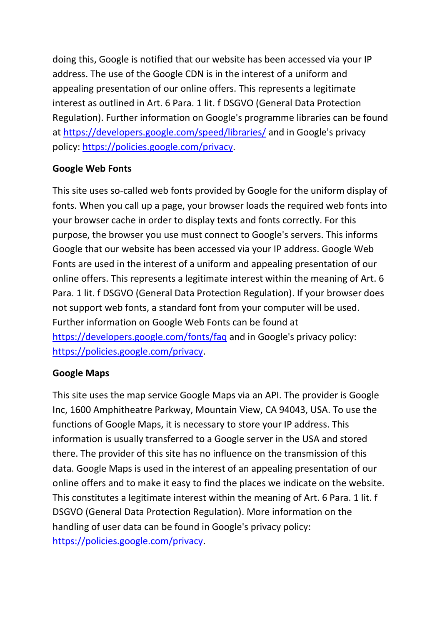doing this, Google is notified that our website has been accessed via your IP address. The use of the Google CDN is in the interest of a uniform and appealing presentation of our online offers. This represents a legitimate interest as outlined in Art. 6 Para. 1 lit. f DSGVO (General Data Protection Regulation). Further information on Google's programme libraries can be found at<https://developers.google.com/speed/libraries/> and in Google's privacy policy: [https://policies.google.com/privacy.](https://policies.google.com/privacy)

## **Google Web Fonts**

This site uses so-called web fonts provided by Google for the uniform display of fonts. When you call up a page, your browser loads the required web fonts into your browser cache in order to display texts and fonts correctly. For this purpose, the browser you use must connect to Google's servers. This informs Google that our website has been accessed via your IP address. Google Web Fonts are used in the interest of a uniform and appealing presentation of our online offers. This represents a legitimate interest within the meaning of Art. 6 Para. 1 lit. f DSGVO (General Data Protection Regulation). If your browser does not support web fonts, a standard font from your computer will be used. Further information on Google Web Fonts can be found at <https://developers.google.com/fonts/faq> and in Google's privacy policy: [https://policies.google.com/privacy.](https://policies.google.com/privacy)

## **Google Maps**

This site uses the map service Google Maps via an API. The provider is Google Inc, 1600 Amphitheatre Parkway, Mountain View, CA 94043, USA. To use the functions of Google Maps, it is necessary to store your IP address. This information is usually transferred to a Google server in the USA and stored there. The provider of this site has no influence on the transmission of this data. Google Maps is used in the interest of an appealing presentation of our online offers and to make it easy to find the places we indicate on the website. This constitutes a legitimate interest within the meaning of Art. 6 Para. 1 lit. f DSGVO (General Data Protection Regulation). More information on the handling of user data can be found in Google's privacy policy: [https://policies.google.com/privacy.](https://policies.google.com/privacy)